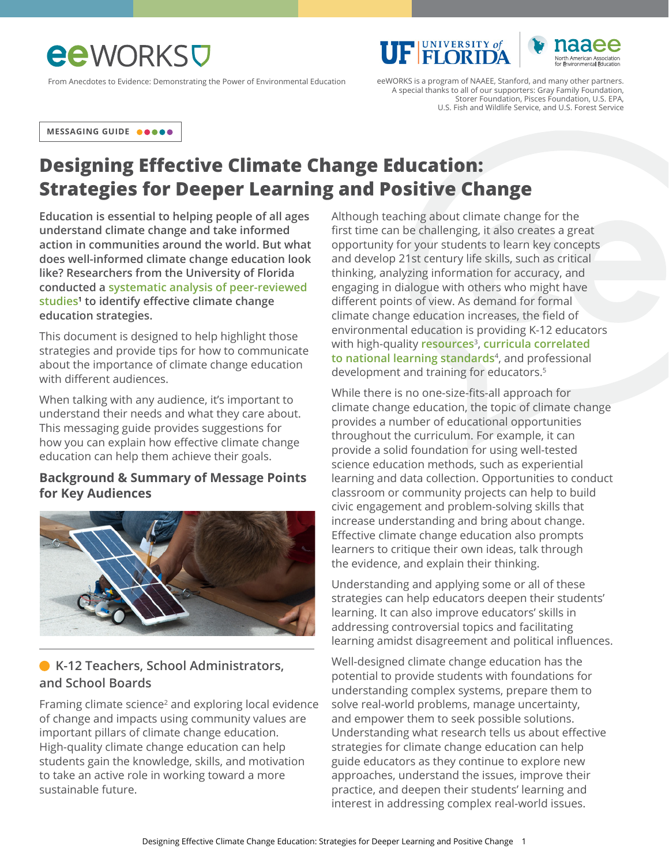# **ee** WORKSU

From Anecdotes to Evidence: Demonstrating the Power of Environmental Education eeWORKS is a program of NAAEE, Stanford, and many other partners.



A special thanks to all of our supporters: Gray Family Foundation, Storer Foundation, Pisces Foundation, U.S. EPA, U.S. Fish and Wildlife Service, and U.S. Forest Service

**UF FLORIDA** 

**MESSAGING GUIDE**

# **Designing Effective Climate Change Education: Strategies for Deeper Learning and Positive Change**

**Education is essential to helping people of all ages understand climate change and take informed action in communities around the world. But what does well-informed climate change education look like? Researchers from the University of Florida conducted a [systematic analysis of peer-reviewed](http://www.tandfonline.com/doi/abs/10.1080/13504622.2017.1360842)  [studies1](http://www.tandfonline.com/doi/abs/10.1080/13504622.2017.1360842) to identify effective climate change education strategies.**

This document is designed to help highlight those strategies and provide tips for how to communicate about the importance of climate change education with different audiences.

When talking with any audience, it's important to understand their needs and what they care about. This messaging guide provides suggestions for how you can explain how effective climate change education can help them achieve their goals.

#### **Background & Summary of Message Points for Key Audiences**



## **K-12 Teachers, School Administrators, and School Boards**

Framing climate science<sup>2</sup> and exploring local evidence of change and impacts using community values are important pillars of climate change education. High-quality climate change education can help students gain the knowledge, skills, and motivation to take an active role in working toward a more sustainable future.

Although teaching about climate change for the first time can be challenging, it also creates a great opportunity for your students to learn key concepts and develop 21st century life skills, such as critical thinking, analyzing information for accuracy, and engaging in dialogue with others who might have different points of view. As demand for formal climate change education increases, the field of environmental education is providing K-12 educators with high-quality **[resources](https://naaee.org/search/site/climate%2520change?f%5B0%5D=bundle%3Aresource&retain-filters=1)**<sup>3</sup>, **[curricula correlated](https://www.plt.org/curriculum/southeastern-forests-climate-change/)  [to national learning standards](https://www.plt.org/curriculum/southeastern-forests-climate-change/)**<sup>4</sup>, and [professional](https://naaee.org/our-work/programs/environmental-issues-forums)  [development and training for educators](https://naaee.org/our-work/programs/environmental-issues-forums).<sup>5</sup>

While there is no one-size-fits-all approach for climate change education, the topic of climate change provides a number of educational opportunities throughout the curriculum. For example, it can provide a solid foundation for using well-tested science education methods, such as experiential learning and data collection. Opportunities to conduct classroom or community projects can help to build civic engagement and problem-solving skills that increase understanding and bring about change. Effective climate change education also prompts learners to critique their own ideas, talk through the evidence, and explain their thinking.

Understanding and applying some or all of these strategies can help educators deepen their students' learning. It can also improve educators' skills in addressing controversial topics and facilitating learning amidst disagreement and political influences.

Well-designed climate change education has the potential to provide students with foundations for understanding complex systems, prepare them to solve real-world problems, manage uncertainty, and empower them to seek possible solutions. Understanding what research tells us about effective strategies for climate change education can help guide educators as they continue to explore new approaches, understand the issues, improve their practice, and deepen their students' learning and interest in addressing complex real-world issues.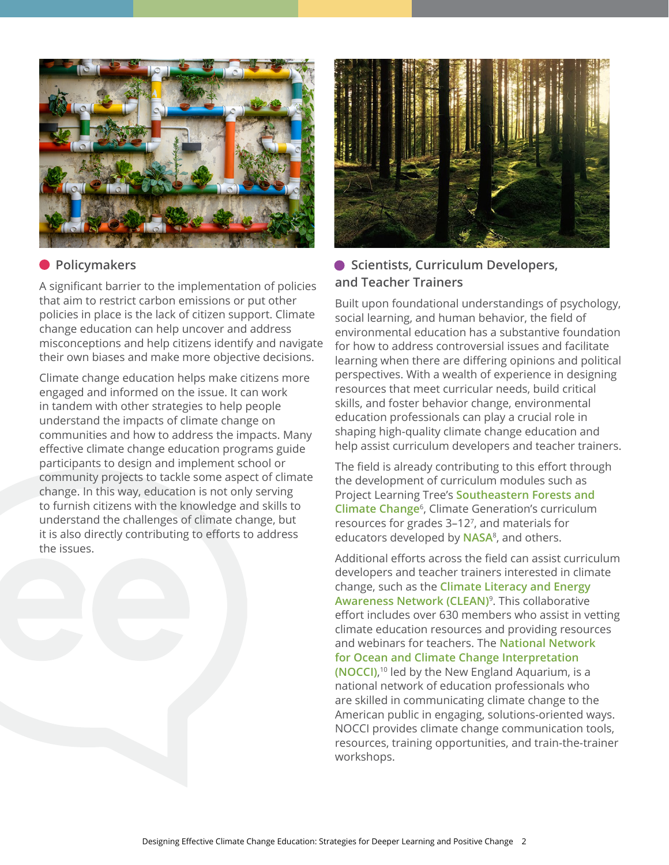

### **Policymakers**

A significant barrier to the implementation of policies that aim to restrict carbon emissions or put other policies in place is the lack of citizen support. Climate change education can help uncover and address misconceptions and help citizens identify and navigate their own biases and make more objective decisions.

Climate change education helps make citizens more engaged and informed on the issue. It can work in tandem with other strategies to help people understand the impacts of climate change on communities and how to address the impacts. Many effective climate change education programs guide participants to design and implement school or community projects to tackle some aspect of climate change. In this way, education is not only serving to furnish citizens with the knowledge and skills to understand the challenges of climate change, but it is also directly contributing to efforts to address the issues.



## **• Scientists, Curriculum Developers, and Teacher Trainers**

Built upon foundational understandings of psychology, social learning, and human behavior, the field of environmental education has a substantive foundation for how to address controversial issues and facilitate learning when there are differing opinions and political perspectives. With a wealth of experience in designing resources that meet curricular needs, build critical skills, and foster behavior change, environmental education professionals can play a crucial role in shaping high-quality climate change education and help assist curriculum developers and teacher trainers.

The field is already contributing to this effort through the development of curriculum modules such as Project Learning Tree's **[Southeastern Forests and](https://www.plt.org/curriculum/southeastern-forests-climate-change/)  [Climate Change](https://www.plt.org/curriculum/southeastern-forests-climate-change/)**<sup>6</sup>, [Climate Generation's curriculum](https://www.climategen.org/take-action/teach-climate-change/curriculum/)  [resources for grades 3–12](https://www.climategen.org/take-action/teach-climate-change/curriculum/)<sup>7</sup>, and materials for educators developed by **[NASA](https://climate.nasa.gov/resources/education/)**<sup>8</sup>, and others.

Additional efforts across the field can assist curriculum developers and teacher trainers interested in climate change, such as the **[Climate Literacy and Energy](https://cleanet.org/)  [Awareness Network \(CLEAN\)](https://cleanet.org/)**<sup>9</sup>. This collaborative effort includes over 630 members who assist in vetting climate education resources and providing resources and webinars for teachers. The **[National Network](https://climateinterpreter.org/about/projects/NNOCCI)  [for Ocean and Climate Change Interpretation](https://climateinterpreter.org/about/projects/NNOCCI)  [\(NOCCI\)](https://climateinterpreter.org/about/projects/NNOCCI)**, 10 led by the New England Aquarium, is a national network of education professionals who are skilled in communicating climate change to the American public in engaging, solutions-oriented ways. NOCCI provides climate change communication tools, resources, training opportunities, and train-the-trainer workshops.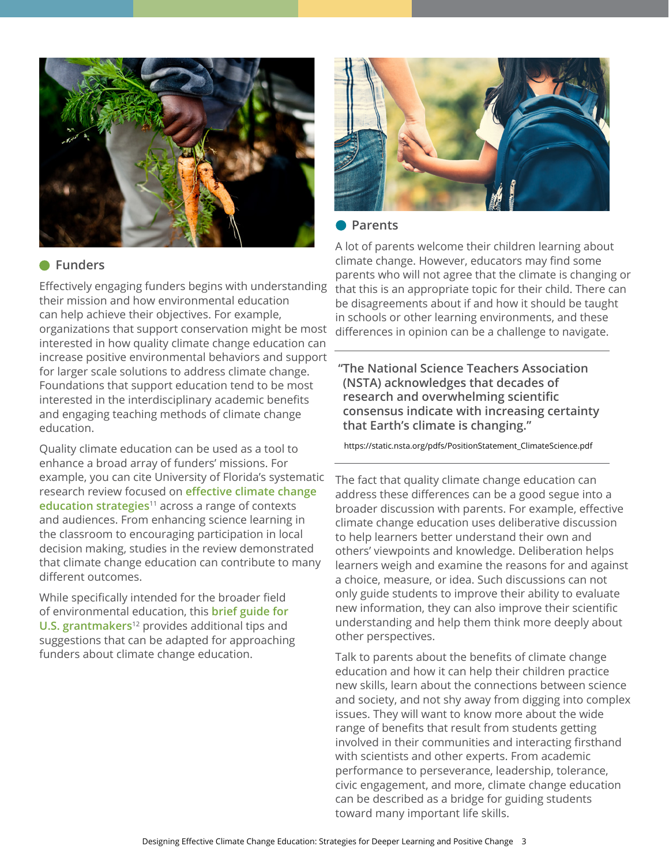

#### **Funders**

Effectively engaging funders begins with understanding their mission and how environmental education can help achieve their objectives. For example, organizations that support conservation might be most interested in how quality climate change education can increase positive environmental behaviors and support for larger scale solutions to address climate change. Foundations that support education tend to be most interested in the interdisciplinary academic benefits and engaging teaching methods of climate change education.

Quality climate education can be used as a tool to enhance a broad array of funders' missions. For example, you can cite University of Florida's systematic research review focused on **[effective climate change](https://www.tandfonline.com/doi/abs/10.1080/13504622.2017.1360842)  [education strategies](https://www.tandfonline.com/doi/abs/10.1080/13504622.2017.1360842)**11 across a range of contexts and audiences. From enhancing science learning in the classroom to encouraging participation in local decision making, studies in the review demonstrated that climate change education can contribute to many different outcomes.

While specifically intended for the broader field of environmental education, this **[brief guide for](https://naaee.org/eepro/resources/environmental-education-brief-guide-us)  [U.S. grantmakers](https://naaee.org/eepro/resources/environmental-education-brief-guide-us)**12 provides additional tips and suggestions that can be adapted for approaching funders about climate change education.



#### **Parents**

A lot of parents welcome their children learning about climate change. However, educators may find some parents who will not agree that the climate is changing or that this is an appropriate topic for their child. There can be disagreements about if and how it should be taught in schools or other learning environments, and these differences in opinion can be a challenge to navigate.

**"The National Science Teachers Association (NSTA) acknowledges that decades of research and overwhelming scientific consensus indicate with increasing certainty that Earth's climate is changing."**

https://static.nsta.org/pdfs/PositionStatement\_ClimateScience.pdf

The fact that quality climate change education can address these differences can be a good segue into a broader discussion with parents. For example, effective climate change education uses deliberative discussion to help learners better understand their own and others' viewpoints and knowledge. Deliberation helps learners weigh and examine the reasons for and against a choice, measure, or idea. Such discussions can not only guide students to improve their ability to evaluate new information, they can also improve their scientific understanding and help them think more deeply about other perspectives.

Talk to parents about the benefits of climate change education and how it can help their children practice new skills, learn about the connections between science and society, and not shy away from digging into complex issues. They will want to know more about the wide range of benefits that result from students getting involved in their communities and interacting firsthand with scientists and other experts. From academic performance to perseverance, leadership, tolerance, civic engagement, and more, climate change education can be described as a bridge for guiding students toward many important life skills.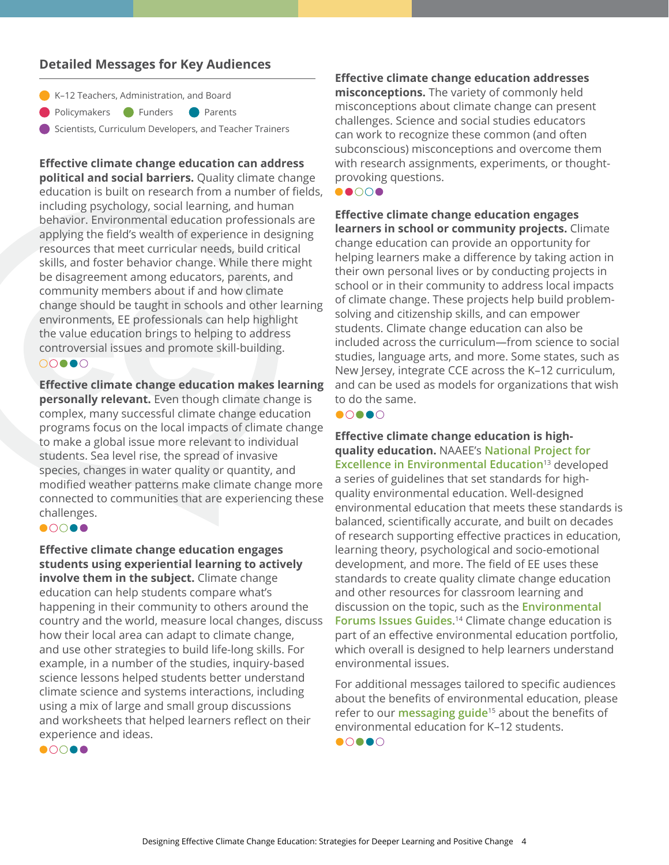#### **Detailed Messages for Key Audiences**

- K-12 Teachers, Administration, and Board
- **Parents** Policymakers Punders

Scientists, Curriculum Developers, and Teacher Trainers

**Effective climate change education can address political and social barriers.** Quality climate change education is built on research from a number of fields, including psychology, social learning, and human behavior. Environmental education professionals are applying the field's wealth of experience in designing resources that meet curricular needs, build critical skills, and foster behavior change. While there might be disagreement among educators, parents, and community members about if and how climate change should be taught in schools and other learning environments, EE professionals can help highlight the value education brings to helping to address controversial issues and promote skill-building.  $00000$ 

**Effective climate change education makes learning personally relevant.** Even though climate change is complex, many successful climate change education programs focus on the local impacts of climate change to make a global issue more relevant to individual students. Sea level rise, the spread of invasive species, changes in water quality or quantity, and modified weather patterns make climate change more connected to communities that are experiencing these challenges.

#### $\bullet$  0000

**Effective climate change education engages students using experiential learning to actively involve them in the subject.** Climate change education can help students compare what's happening in their community to others around the country and the world, measure local changes, discuss how their local area can adapt to climate change, and use other strategies to build life-long skills. For example, in a number of the studies, inquiry-based science lessons helped students better understand climate science and systems interactions, including using a mix of large and small group discussions and worksheets that helped learners reflect on their experience and ideas.

**Effective climate change education addresses misconceptions.** The variety of commonly held misconceptions about climate change can present challenges. Science and social studies educators can work to recognize these common (and often subconscious) misconceptions and overcome them with research assignments, experiments, or thoughtprovoking questions.

# $\bullet$   $\circ$   $\circ$   $\bullet$

**Effective climate change education engages learners in school or community projects.** Climate change education can provide an opportunity for helping learners make a difference by taking action in their own personal lives or by conducting projects in school or in their community to address local impacts of climate change. These projects help build problemsolving and citizenship skills, and can empower students. Climate change education can also be included across the curriculum—from science to social studies, language arts, and more. Some states, such as New Jersey, integrate CCE across the K–12 curriculum, and can be used as models for organizations that wish to do the same.

#### $\bullet$  $\circ$  $\bullet$  $\circ$

**Effective climate change education is highquality education.** NAAEE's **[National Project for](https://naaee.org/our-work/programs/guidelines-excellence)  [Excellence in Environmental Education](https://naaee.org/our-work/programs/guidelines-excellence)**13 developed

a series of guidelines that set standards for highquality environmental education. Well-designed environmental education that meets these standards is balanced, scientifically accurate, and built on decades of research supporting effective practices in education, learning theory, psychological and socio-emotional development, and more. The field of EE uses these standards to create quality climate change education and other resources for classroom learning and discussion on the topic, such as the **[Environmental](https://naaee.org/our-work/programs/environmental-issues-forums)  [Forums Issues Guides](https://naaee.org/our-work/programs/environmental-issues-forums)**. 14 Climate change education is part of an effective environmental education portfolio, which overall is designed to help learners understand environmental issues.

For additional messages tailored to specific audiences about the benefits of environmental education, please refer to our **[messaging guide](https://naaee.org/sites/default/files/eeworks/files/k-12_messaging_guide_final.pdf)**15 about the benefits of environmental education for K–12 students.

 $\bullet$   $\circ$   $\bullet$   $\circ$